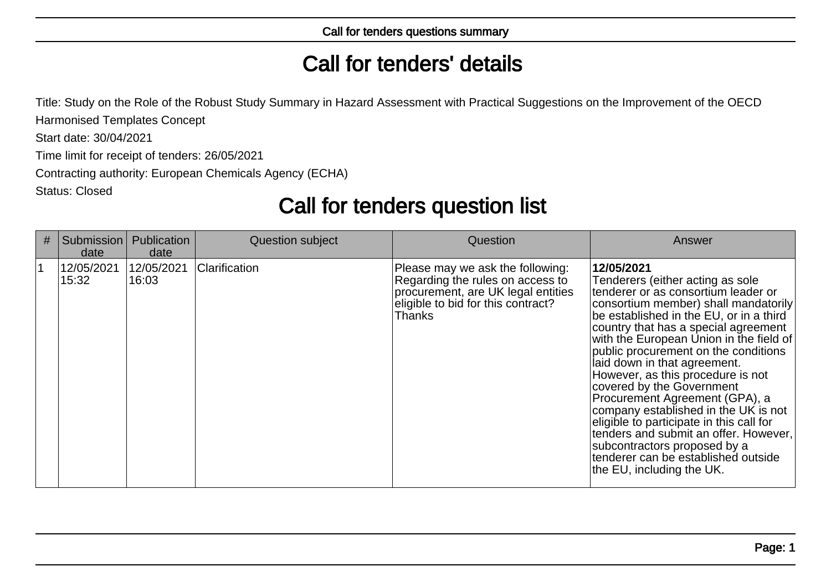## Call for tenders' details

Title: Study on the Role of the Robust Study Summary in Hazard Assessment with Practical Suggestions on the Improvement of the OECDHarmonised Templates Concept

Start date: 30/04/2021

Time limit for receipt of tenders: 26/05/2021

Contracting authority: European Chemicals Agency (ECHA)

Status: Closed

## Call for tenders question list

| # | Submission<br>date  | Publication<br>date | Question subject | Question                                                                                                                                                   | Answer                                                                                                                                                                                                                                                                                                                                                                                                                                                                                                                                                                                                                                                                   |
|---|---------------------|---------------------|------------------|------------------------------------------------------------------------------------------------------------------------------------------------------------|--------------------------------------------------------------------------------------------------------------------------------------------------------------------------------------------------------------------------------------------------------------------------------------------------------------------------------------------------------------------------------------------------------------------------------------------------------------------------------------------------------------------------------------------------------------------------------------------------------------------------------------------------------------------------|
|   | 12/05/2021<br>15:32 | 12/05/2021<br>16:03 | Clarification    | Please may we ask the following:<br>Regarding the rules on access to<br>procurement, are UK legal entities<br>eligible to bid for this contract?<br>Thanks | 12/05/2021<br>Tenderers (either acting as sole<br>tenderer or as consortium leader or<br>consortium member) shall mandatorily<br>be established in the EU, or in a third<br>country that has a special agreement<br>with the European Union in the field of<br>public procurement on the conditions<br>laid down in that agreement.<br>However, as this procedure is not<br>covered by the Government<br>Procurement Agreement (GPA), a<br>company established in the UK is not<br>eligible to participate in this call for<br>tenders and submit an offer. However,<br>subcontractors proposed by a<br>tenderer can be established outside<br>the EU, including the UK. |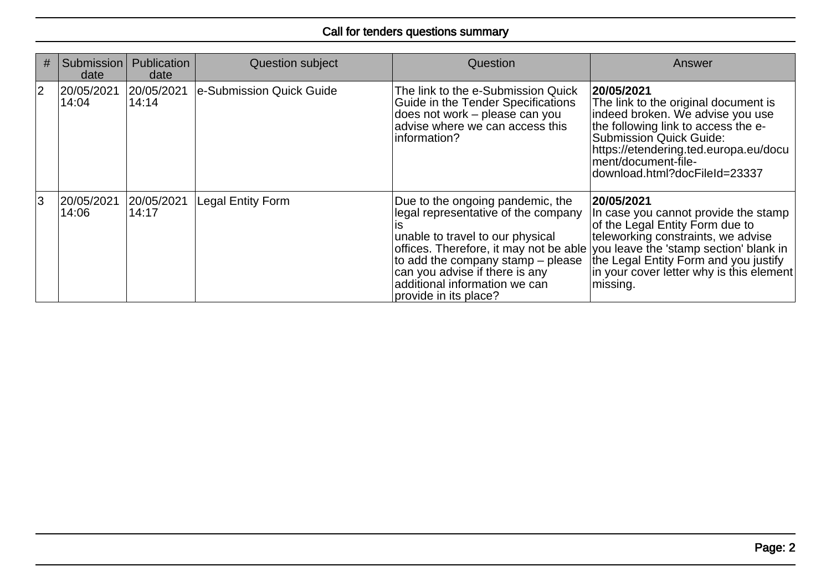## Call for tenders questions summary

| #  | Submission<br>date  | Publication<br>date | Question subject         | Question                                                                                                                                                                                                                                                                                 | Answer                                                                                                                                                                                                                                                                 |
|----|---------------------|---------------------|--------------------------|------------------------------------------------------------------------------------------------------------------------------------------------------------------------------------------------------------------------------------------------------------------------------------------|------------------------------------------------------------------------------------------------------------------------------------------------------------------------------------------------------------------------------------------------------------------------|
| 2  | 20/05/2021<br>14:04 | 20/05/2021<br>14:14 | e-Submission Quick Guide | The link to the e-Submission Quick<br>Guide in the Tender Specifications<br>does not work – please can you<br>advise where we can access this<br>information?                                                                                                                            | 20/05/2021<br>The link to the original document is<br>indeed broken. We advise you use<br>the following link to access the e-<br><b>Submission Quick Guide:</b><br>https://etendering.ted.europa.eu/docu<br>ment/document-file-<br>download.html?docFileId=23337       |
| Ι3 | 20/05/2021<br>14:06 | 20/05/2021<br>14:17 | <b>Legal Entity Form</b> | Due to the ongoing pandemic, the<br>legal representative of the company<br>unable to travel to our physical<br>offices. Therefore, it may not be able<br>to add the company stamp $-$ please<br>can you advise if there is any<br>additional information we can<br>provide in its place? | 20/05/2021<br>In case you cannot provide the stamp<br>of the Legal Entity Form due to<br>teleworking constraints, we advise<br>you leave the 'stamp section' blank in<br>the Legal Entity Form and you justify<br>in your cover letter why is this element<br>missing. |